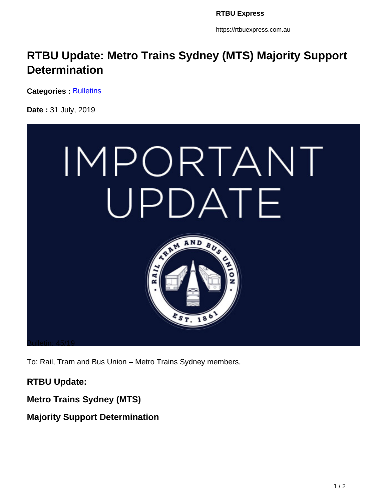https://rtbuexpress.com.au

## **RTBU Update: Metro Trains Sydney (MTS) Majority Support Determination**

**Categories : [Bulletins](https://rtbuexpress.com.au/category/news/bulletins/)** 

**Date :** 31 July, 2019



To: Rail, Tram and Bus Union – Metro Trains Sydney members,

**RTBU Update:**

**Metro Trains Sydney (MTS)** 

**Majority Support Determination**